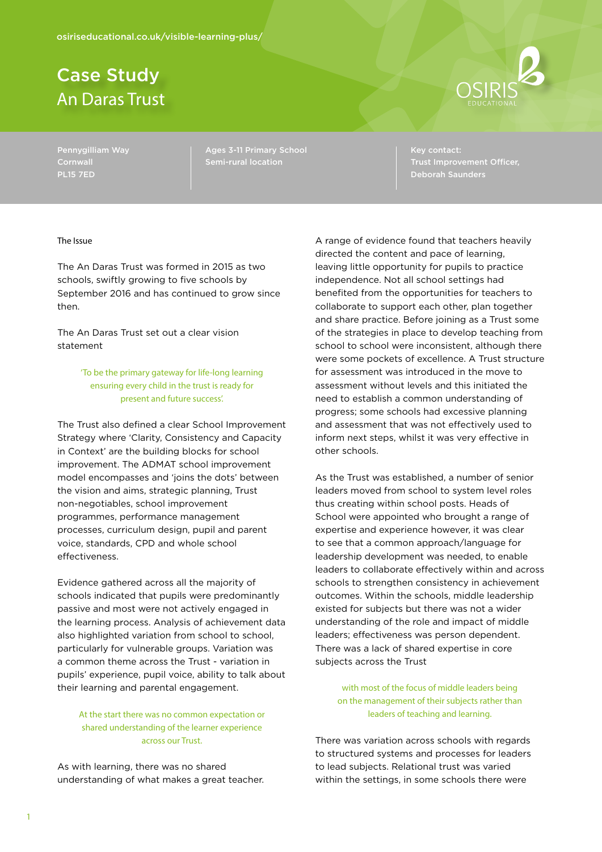# Case Study An Daras Trust



Pennygilliam Way **Cornwall** PL15 7ED

Ages 3-11 Primary School Semi-rural location

Key contact: Trust Improvement Officer,

#### The Issue

The An Daras Trust was formed in 2015 as two schools, swiftly growing to five schools by September 2016 and has continued to grow since then.

The An Daras Trust set out a clear vision statement

> 'To be the primary gateway for life-long learning ensuring every child in the trust is ready for present and future success'.

The Trust also defined a clear School Improvement Strategy where 'Clarity, Consistency and Capacity in Context' are the building blocks for school improvement. The ADMAT school improvement model encompasses and 'joins the dots' between the vision and aims, strategic planning, Trust non-negotiables, school improvement programmes, performance management processes, curriculum design, pupil and parent voice, standards, CPD and whole school effectiveness.

Evidence gathered across all the majority of schools indicated that pupils were predominantly passive and most were not actively engaged in the learning process. Analysis of achievement data also highlighted variation from school to school, particularly for vulnerable groups. Variation was a common theme across the Trust - variation in pupils' experience, pupil voice, ability to talk about their learning and parental engagement.

At the start there was no common expectation or shared understanding of the learner experience across our Trust.

As with learning, there was no shared understanding of what makes a great teacher. A range of evidence found that teachers heavily directed the content and pace of learning, leaving little opportunity for pupils to practice independence. Not all school settings had benefited from the opportunities for teachers to collaborate to support each other, plan together and share practice. Before joining as a Trust some of the strategies in place to develop teaching from school to school were inconsistent, although there were some pockets of excellence. A Trust structure for assessment was introduced in the move to assessment without levels and this initiated the need to establish a common understanding of progress; some schools had excessive planning and assessment that was not effectively used to inform next steps, whilst it was very effective in other schools.

As the Trust was established, a number of senior leaders moved from school to system level roles thus creating within school posts. Heads of School were appointed who brought a range of expertise and experience however, it was clear to see that a common approach/language for leadership development was needed, to enable leaders to collaborate effectively within and across schools to strengthen consistency in achievement outcomes. Within the schools, middle leadership existed for subjects but there was not a wider understanding of the role and impact of middle leaders; effectiveness was person dependent. There was a lack of shared expertise in core subjects across the Trust

with most of the focus of middle leaders being on the management of their subjects rather than leaders of teaching and learning.

There was variation across schools with regards to structured systems and processes for leaders to lead subjects. Relational trust was varied within the settings, in some schools there were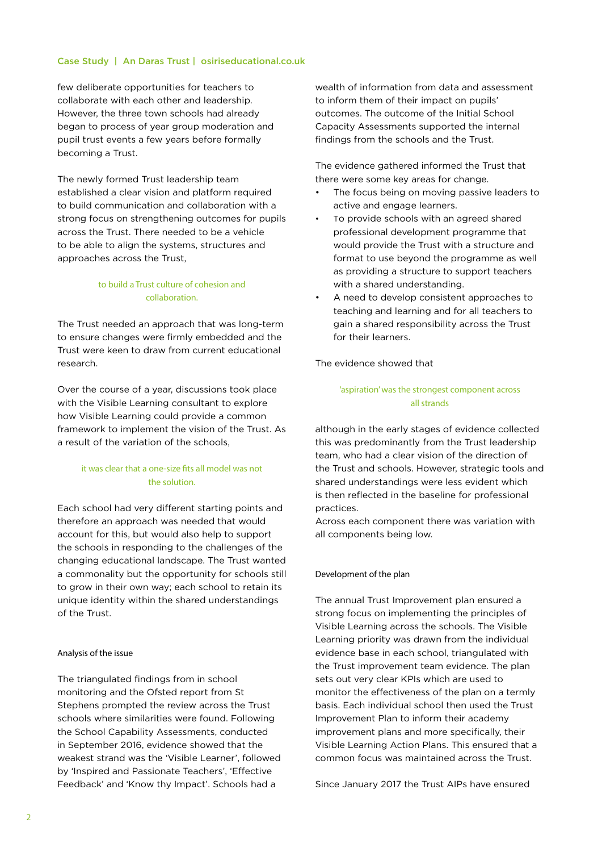few deliberate opportunities for teachers to collaborate with each other and leadership. However, the three town schools had already began to process of year group moderation and pupil trust events a few years before formally becoming a Trust.

The newly formed Trust leadership team established a clear vision and platform required to build communication and collaboration with a strong focus on strengthening outcomes for pupils across the Trust. There needed to be a vehicle to be able to align the systems, structures and approaches across the Trust,

# to build a Trust culture of cohesion and collaboration.

The Trust needed an approach that was long-term to ensure changes were firmly embedded and the Trust were keen to draw from current educational research.

Over the course of a year, discussions took place with the Visible Learning consultant to explore how Visible Learning could provide a common framework to implement the vision of the Trust. As a result of the variation of the schools,

# it was clear that a one-size fits all model was not the solution.

Each school had very different starting points and therefore an approach was needed that would account for this, but would also help to support the schools in responding to the challenges of the changing educational landscape. The Trust wanted a commonality but the opportunity for schools still to grow in their own way; each school to retain its unique identity within the shared understandings of the Trust.

# Analysis of the issue

The triangulated findings from in school monitoring and the Ofsted report from St Stephens prompted the review across the Trust schools where similarities were found. Following the School Capability Assessments, conducted in September 2016, evidence showed that the weakest strand was the 'Visible Learner', followed by 'Inspired and Passionate Teachers', 'Effective Feedback' and 'Know thy Impact'. Schools had a

wealth of information from data and assessment to inform them of their impact on pupils' outcomes. The outcome of the Initial School Capacity Assessments supported the internal findings from the schools and the Trust.

The evidence gathered informed the Trust that there were some key areas for change.

- The focus being on moving passive leaders to active and engage learners.
- To provide schools with an agreed shared professional development programme that would provide the Trust with a structure and format to use beyond the programme as well as providing a structure to support teachers with a shared understanding.
- A need to develop consistent approaches to teaching and learning and for all teachers to gain a shared responsibility across the Trust for their learners.

The evidence showed that

# 'aspiration' was the strongest component across all strands

although in the early stages of evidence collected this was predominantly from the Trust leadership team, who had a clear vision of the direction of the Trust and schools. However, strategic tools and shared understandings were less evident which is then reflected in the baseline for professional practices.

Across each component there was variation with all components being low.

# Development of the plan

The annual Trust Improvement plan ensured a strong focus on implementing the principles of Visible Learning across the schools. The Visible Learning priority was drawn from the individual evidence base in each school, triangulated with the Trust improvement team evidence. The plan sets out very clear KPIs which are used to monitor the effectiveness of the plan on a termly basis. Each individual school then used the Trust Improvement Plan to inform their academy improvement plans and more specifically, their Visible Learning Action Plans. This ensured that a common focus was maintained across the Trust.

Since January 2017 the Trust AIPs have ensured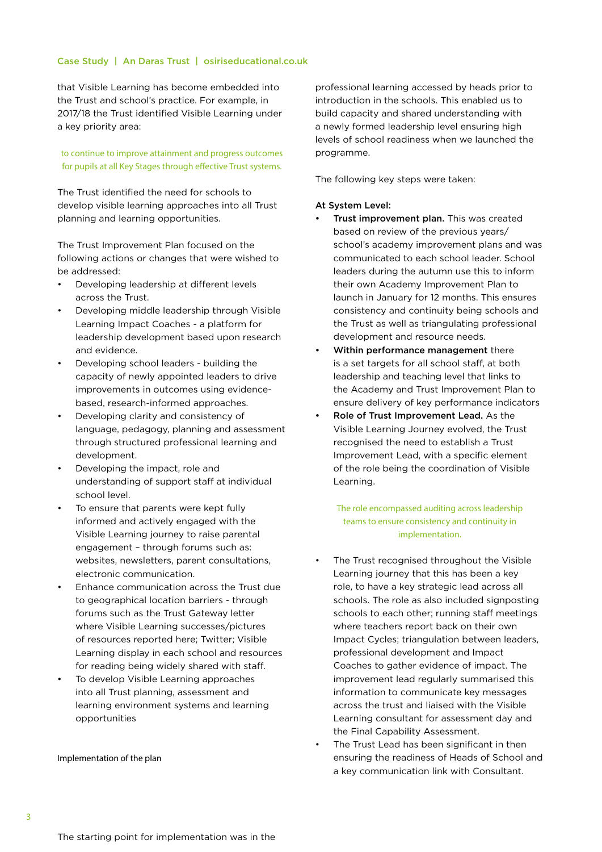that Visible Learning has become embedded into the Trust and school's practice. For example, in 2017/18 the Trust identified Visible Learning under a key priority area:

## to continue to improve attainment and progress outcomes for pupils at all Key Stages through effective Trust systems.

The Trust identified the need for schools to develop visible learning approaches into all Trust planning and learning opportunities.

The Trust Improvement Plan focused on the following actions or changes that were wished to be addressed:

- • Developing leadership at different levels across the Trust.
- Developing middle leadership through Visible Learning Impact Coaches - a platform for leadership development based upon research and evidence.
- Developing school leaders building the capacity of newly appointed leaders to drive improvements in outcomes using evidencebased, research-informed approaches.
- Developing clarity and consistency of language, pedagogy, planning and assessment through structured professional learning and development.
- Developing the impact, role and understanding of support staff at individual school level.
- To ensure that parents were kept fully informed and actively engaged with the Visible Learning journey to raise parental engagement – through forums such as: websites, newsletters, parent consultations, electronic communication.
- Enhance communication across the Trust due to geographical location barriers - through forums such as the Trust Gateway letter where Visible Learning successes/pictures of resources reported here; Twitter; Visible Learning display in each school and resources for reading being widely shared with staff.
- To develop Visible Learning approaches into all Trust planning, assessment and learning environment systems and learning opportunities

Implementation of the plan

professional learning accessed by heads prior to introduction in the schools. This enabled us to build capacity and shared understanding with a newly formed leadership level ensuring high levels of school readiness when we launched the programme.

The following key steps were taken:

#### At System Level:

- Trust improvement plan. This was created based on review of the previous years/ school's academy improvement plans and was communicated to each school leader. School leaders during the autumn use this to inform their own Academy Improvement Plan to launch in January for 12 months. This ensures consistency and continuity being schools and the Trust as well as triangulating professional development and resource needs.
- Within performance management there is a set targets for all school staff, at both leadership and teaching level that links to the Academy and Trust Improvement Plan to ensure delivery of key performance indicators
- Role of Trust Improvement Lead. As the Visible Learning Journey evolved, the Trust recognised the need to establish a Trust Improvement Lead, with a specific element of the role being the coordination of Visible Learning.

# The role encompassed auditing across leadership teams to ensure consistency and continuity in implementation.

- The Trust recognised throughout the Visible Learning journey that this has been a key role, to have a key strategic lead across all schools. The role as also included signposting schools to each other; running staff meetings where teachers report back on their own Impact Cycles; triangulation between leaders, professional development and Impact Coaches to gather evidence of impact. The improvement lead regularly summarised this information to communicate key messages across the trust and liaised with the Visible Learning consultant for assessment day and the Final Capability Assessment.
- The Trust Lead has been significant in then ensuring the readiness of Heads of School and a key communication link with Consultant.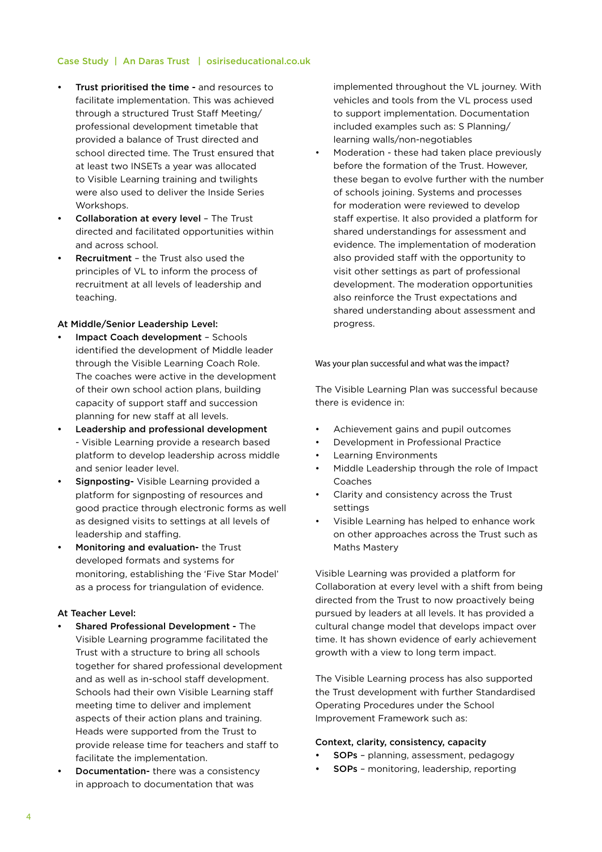- Trust prioritised the time and resources to facilitate implementation. This was achieved through a structured Trust Staff Meeting/ professional development timetable that provided a balance of Trust directed and school directed time. The Trust ensured that at least two INSETs a year was allocated to Visible Learning training and twilights were also used to deliver the Inside Series Workshops.
- • Collaboration at every level The Trust directed and facilitated opportunities within and across school.
- **Recruitment** the Trust also used the principles of VL to inform the process of recruitment at all levels of leadership and teaching.

#### At Middle/Senior Leadership Level:

- Impact Coach development Schools identified the development of Middle leader through the Visible Learning Coach Role. The coaches were active in the development of their own school action plans, building capacity of support staff and succession planning for new staff at all levels.
- Leadership and professional development - Visible Learning provide a research based platform to develop leadership across middle and senior leader level.
- Signposting- Visible Learning provided a platform for signposting of resources and good practice through electronic forms as well as designed visits to settings at all levels of leadership and staffing.
- Monitoring and evaluation- the Trust developed formats and systems for monitoring, establishing the 'Five Star Model' as a process for triangulation of evidence.

# At Teacher Level:

- **Shared Professional Development The** Visible Learning programme facilitated the Trust with a structure to bring all schools together for shared professional development and as well as in-school staff development. Schools had their own Visible Learning staff meeting time to deliver and implement aspects of their action plans and training. Heads were supported from the Trust to provide release time for teachers and staff to facilitate the implementation.
- Documentation- there was a consistency in approach to documentation that was

implemented throughout the VL journey. With vehicles and tools from the VL process used to support implementation. Documentation included examples such as: S Planning/ learning walls/non-negotiables

Moderation - these had taken place previously before the formation of the Trust. However, these began to evolve further with the number of schools joining. Systems and processes for moderation were reviewed to develop staff expertise. It also provided a platform for shared understandings for assessment and evidence. The implementation of moderation also provided staff with the opportunity to visit other settings as part of professional development. The moderation opportunities also reinforce the Trust expectations and shared understanding about assessment and progress.

#### Was your plan successful and what was the impact?

The Visible Learning Plan was successful because there is evidence in:

- Achievement gains and pupil outcomes
- Development in Professional Practice
- **Learning Environments**
- Middle Leadership through the role of Impact Coaches
- Clarity and consistency across the Trust settings
- Visible Learning has helped to enhance work on other approaches across the Trust such as Maths Mastery

Visible Learning was provided a platform for Collaboration at every level with a shift from being directed from the Trust to now proactively being pursued by leaders at all levels. It has provided a cultural change model that develops impact over time. It has shown evidence of early achievement growth with a view to long term impact.

The Visible Learning process has also supported the Trust development with further Standardised Operating Procedures under the School Improvement Framework such as:

#### Context, clarity, consistency, capacity

- **SOPs** planning, assessment, pedagogy
- **SOPs** monitoring, leadership, reporting